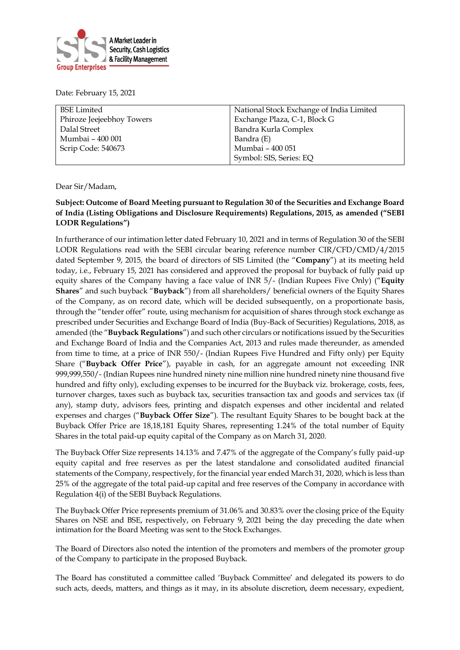

Date: February 15, 2021

| National Stock Exchange of India Limited |  |
|------------------------------------------|--|
| Exchange Plaza, C-1, Block G             |  |
| Bandra Kurla Complex                     |  |
| Bandra (E)                               |  |
| Mumbai - 400 051                         |  |
| Symbol: SIS, Series: EQ                  |  |
|                                          |  |

Dear Sir/Madam,

## **Subject: Outcome of Board Meeting pursuant to Regulation 30 of the Securities and Exchange Board of India (Listing Obligations and Disclosure Requirements) Regulations, 2015, as amended ("SEBI LODR Regulations")**

In furtherance of our intimation letter dated February 10, 2021 and in terms of Regulation 30 of the SEBI LODR Regulations read with the SEBI circular bearing reference number CIR/CFD/CMD/4/2015 dated September 9, 2015, the board of directors of SIS Limited (the "**Company**") at its meeting held today, i.e., February 15, 2021 has considered and approved the proposal for buyback of fully paid up equity shares of the Company having a face value of INR 5/- (Indian Rupees Five Only) ("**Equity Shares**" and such buyback "**Buyback**") from all shareholders/ beneficial owners of the Equity Shares of the Company, as on record date, which will be decided subsequently, on a proportionate basis, through the "tender offer" route, using mechanism for acquisition of shares through stock exchange as prescribed under Securities and Exchange Board of India (Buy-Back of Securities) Regulations, 2018, as amended (the "**Buyback Regulations**") and such other circulars or notifications issued by the Securities and Exchange Board of India and the Companies Act, 2013 and rules made thereunder, as amended from time to time, at a price of INR 550/- (Indian Rupees Five Hundred and Fifty only) per Equity Share ("**Buyback Offer Price**"), payable in cash, for an aggregate amount not exceeding INR 999,999,550/- (Indian Rupees nine hundred ninety nine million nine hundred ninety nine thousand five hundred and fifty only), excluding expenses to be incurred for the Buyback viz. brokerage, costs, fees, turnover charges, taxes such as buyback tax, securities transaction tax and goods and services tax (if any), stamp duty, advisors fees, printing and dispatch expenses and other incidental and related expenses and charges ("**Buyback Offer Size**"). The resultant Equity Shares to be bought back at the Buyback Offer Price are 18,18,181 Equity Shares, representing 1.24% of the total number of Equity Shares in the total paid-up equity capital of the Company as on March 31, 2020.

The Buyback Offer Size represents 14.13% and 7.47% of the aggregate of the Company's fully paid-up equity capital and free reserves as per the latest standalone and consolidated audited financial statements of the Company, respectively, for the financial year ended March 31, 2020, which is less than 25% of the aggregate of the total paid-up capital and free reserves of the Company in accordance with Regulation 4(i) of the SEBI Buyback Regulations.

The Buyback Offer Price represents premium of 31.06% and 30.83% over the closing price of the Equity Shares on NSE and BSE, respectively, on February 9, 2021 being the day preceding the date when intimation for the Board Meeting was sent to the Stock Exchanges.

The Board of Directors also noted the intention of the promoters and members of the promoter group of the Company to participate in the proposed Buyback.

The Board has constituted a committee called 'Buyback Committee' and delegated its powers to do such acts, deeds, matters, and things as it may, in its absolute discretion, deem necessary, expedient,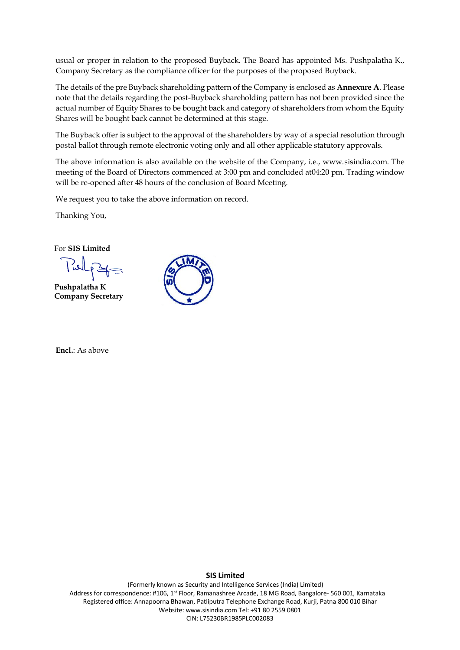usual or proper in relation to the proposed Buyback. The Board has appointed Ms. Pushpalatha K., Company Secretary as the compliance officer for the purposes of the proposed Buyback.

The details of the pre Buyback shareholding pattern of the Company is enclosed as **Annexure A**. Please note that the details regarding the post-Buyback shareholding pattern has not been provided since the actual number of Equity Shares to be bought back and category of shareholders from whom the Equity Shares will be bought back cannot be determined at this stage.

The Buyback offer is subject to the approval of the shareholders by way of a special resolution through postal ballot through remote electronic voting only and all other applicable statutory approvals.

The above information is also available on the website of the Company, i.e., www.sisindia.com. The meeting of the Board of Directors commenced at 3:00 pm and concluded at04:20 pm. Trading window will be re-opened after 48 hours of the conclusion of Board Meeting.

We request you to take the above information on record.

Thanking You,

For **SIS Limited**

**Pushpalatha K Company Secretary**

**Encl.**: As above



## **SIS Limited**

(Formerly known as Security and Intelligence Services(India) Limited) Address for correspondence: #106, 1<sup>st</sup> Floor, Ramanashree Arcade, 18 MG Road, Bangalore- 560 001, Karnataka Registered office: Annapoorna Bhawan, Patliputra Telephone Exchange Road, Kurji, Patna 800 010 Bihar Website: www.sisindia.com Tel: +91 80 2559 0801 CIN: L75230BR1985PLC002083